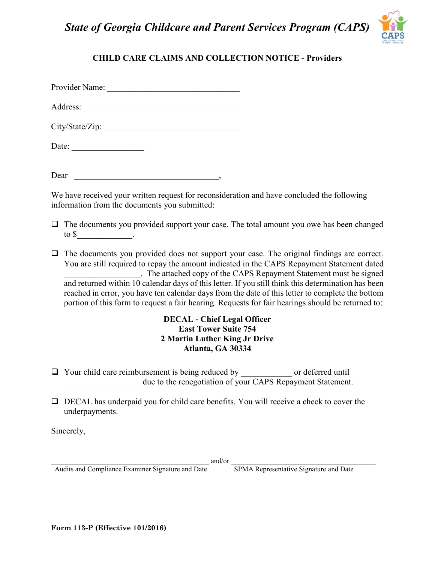*State of Georgia Childcare and Parent Services Program (CAPS)*



## **CHILD CARE CLAIMS AND COLLECTION NOTICE - Providers**

Provider Name:

Address: \_\_\_\_\_\_\_\_\_\_\_\_\_\_\_\_\_\_\_\_\_\_\_\_\_\_\_\_\_\_\_\_\_\_\_\_\_

City/State/Zip:

Date:

Dear the contract of the contract of the contract of the contract of the contract of the contract of the contract of the contract of the contract of the contract of the contract of the contract of the contract of the contr

We have received your written request for reconsideration and have concluded the following information from the documents you submitted:

- $\Box$  The documents you provided support your case. The total amount you owe has been changed to  $\mathbb S$  .
- $\Box$  The documents you provided does not support your case. The original findings are correct. You are still required to repay the amount indicated in the CAPS Repayment Statement dated \_\_\_\_\_\_\_\_\_\_\_\_\_\_\_\_\_\_. The attached copy of the CAPS Repayment Statement must be signed and returned within 10 calendar days of this letter. If you still think this determination has been reached in error, you have ten calendar days from the date of this letter to complete the bottom portion of this form to request a fair hearing. Requests for fair hearings should be returned to:

## **DECAL - Chief Legal Officer East Tower Suite 754 2 Martin Luther King Jr Drive Atlanta, GA 30334**

- $\Box$  Your child care reimbursement is being reduced by or deferred until due to the renegotiation of your CAPS Repayment Statement.
- $\Box$  DECAL has underpaid you for child care benefits. You will receive a check to cover the underpayments.

Sincerely,

 $and/or$ 

Audits and Compliance Examiner Signature and Date SPMA Representative Signature and Date